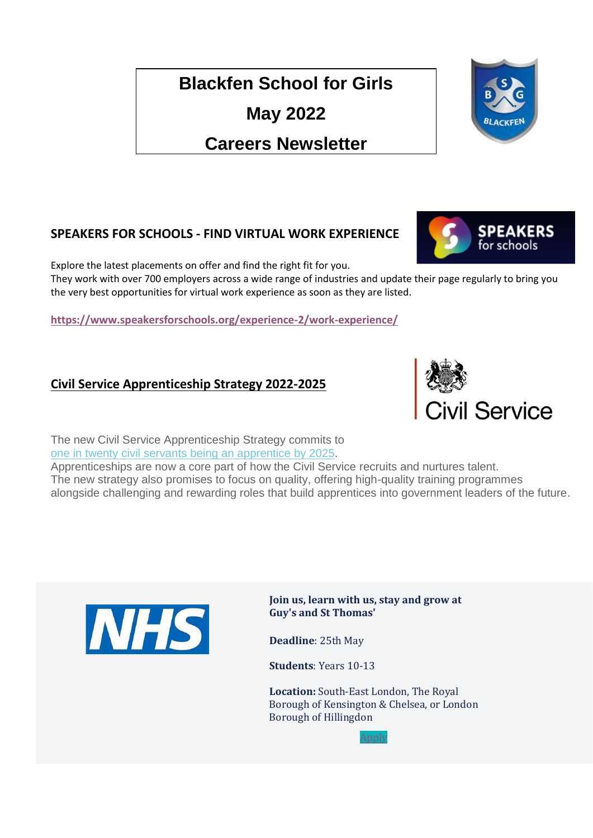# **Blackfen School for Girls**

**May 2022** 

# **Careers Newsletter**

## **SPEAKERS FOR SCHOOLS - FIND VIRTUAL WORK EXPERIENCE**

Explore the latest placements on offer and find the right fit for you.

They work with over 700 employers across a wide range of industries and update their page regularly to bring you the very best opportunities for virtual work experience as soon as they are listed.

**<https://www.speakersforschools.org/experience-2/work-experience/>**

### **Civil Service Apprenticeship Strategy 2022-2025**

The new Civil Service Apprenticeship Strategy commits to one in twenty civil servants being an [apprentice](https://amazingapprenticeships.us11.list-manage.com/track/click?u=9f89f859eb0be9d437b1414c3&id=bb1283b08b&e=decb61ea9c) by 2025.

Apprenticeships are now a core part of how the Civil Service recruits and nurtures talent. The new strategy also promises to focus on quality, offering high-quality training programmes alongside challenging and rewarding roles that build apprentices into government leaders of the future.

> **Join us, learn with us, stay and grow at Guy's and St Thomas'**

**Deadline**: 25th May

**Students**: Years 10-13

**Location:** South-East London, The Royal Borough of Kensington & Chelsea, or London Borough of Hillingdon



il Service



**SPEAKERS** for schools



**NHS**